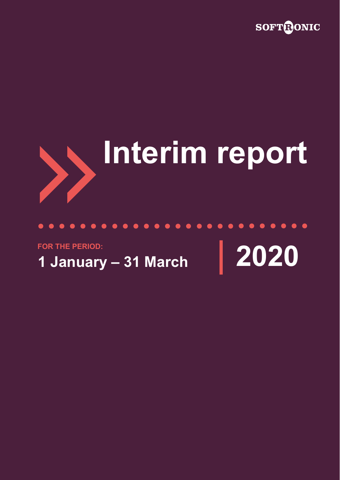



# $\bullet$ **FOR THE PERIOD:1 January – 31 March 2020**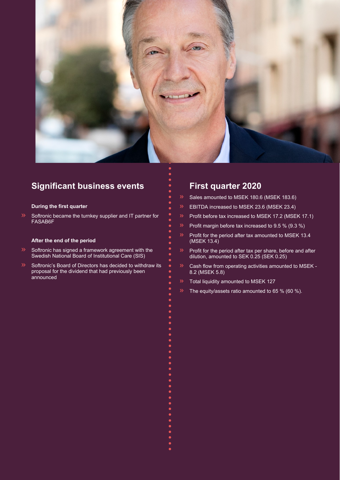

## **Significant business events**

#### **During the first quarter**

 $\mathcal{P}$ Softronic became the turnkey supplier and IT partner for FASAB6F

#### **After the end of the period**

- Softronic has signed a framework agreement with the Swedish National Board of Institutional Care (SIS)
- Softronic's Board of Directors has decided to withdraw its proposal for the dividend that had previously been announced

## **First quarter 2020**

- Sales amounted to MSEK 180.6 (MSEK 183.6)
- EBITDA increased to MSEK 23.6 (MSEK 23.4)
- Profit before tax increased to MSEK 17.2 (MSEK 17.1)
- Profit margin before tax increased to 9.5 % (9.3 %)
- Profit for the period after tax amounted to MSEK 13.4 (MSEK 13.4)
- Profit for the period after tax per share, before and after dilution, amounted to SEK 0.25 (SEK 0.25)
- Cash flow from operating activities amounted to MSEK 8.2 (MSEK 5.8)
- Total liquidity amounted to MSEK 127
- The equity/assets ratio amounted to 65 % (60 %).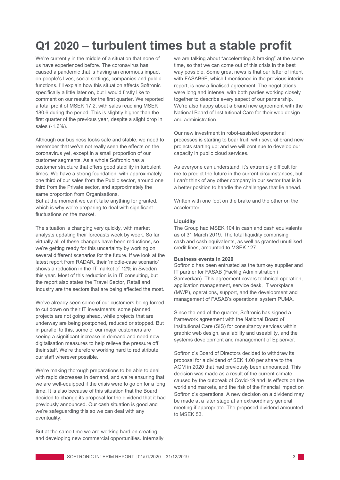# **Q1 2020 – turbulent times but a stable profit**

We're currently in the middle of a situation that none of us have experienced before. The coronavirus has caused a pandemic that is having an enormous impact on people's lives, social settings, companies and public functions. I'll explain how this situation affects Softronic specifically a little later on, but I would firstly like to comment on our results for the first quarter. We reported a total profit of MSEK 17.2, with sales reaching MSEK 180.6 during the period. This is slightly higher than the first quarter of the previous year, despite a slight drop in sales (-1.6%).

Although our business looks safe and stable, we need to remember that we've not really seen the effects on the coronavirus yet, except in a small proportion of our customer segments. As a whole Softronic has a customer structure that offers good stability in turbulent times. We have a strong foundation, with approximately one third of our sales from the Public sector, around one third from the Private sector, and approximately the same proportion from Organisations. But at the moment we can't take anything for granted, which is why we're preparing to deal with significant fluctuations on the market.

The situation is changing very quickly, with market analysts updating their forecasts week by week. So far virtually all of these changes have been reductions, so we're getting ready for this uncertainty by working on several different scenarios for the future. If we look at the latest report from RADAR, their 'middle-case scenario' shows a reduction in the IT market of 12% in Sweden this year. Most of this reduction is in IT consulting, but the report also states the Travel Sector, Retail and Industry are the sectors that are being affected the most.

We've already seen some of our customers being forced to cut down on their IT investments; some planned projects are not going ahead, while projects that are underway are being postponed, reduced or stopped. But in parallel to this, some of our major customers are seeing a significant increase in demand and need new digitalisation measures to help relieve the pressure off their staff. We're therefore working hard to redistribute our staff wherever possible.

We're making thorough preparations to be able to deal with rapid decreases in demand, and we're ensuring that we are well-equipped if the crisis were to go on for a long time. It is also because of this situation that the Board decided to change its proposal for the dividend that it had previously announced. Our cash situation is good and we're safeguarding this so we can deal with any eventuality.

But at the same time we are working hard on creating and developing new commercial opportunities. Internally we are talking about "accelerating & braking" at the same time, so that we can come out of this crisis in the best way possible. Some great news is that our letter of intent with FASAB6F, which I mentioned in the previous interim report, is now a finalised agreement. The negotiations were long and intense, with both parties working closely together to describe every aspect of our partnership. We're also happy about a brand new agreement with the National Board of Institutional Care for their web design and administration.

Our new investment in robot-assisted operational processes is starting to bear fruit, with several brand new projects starting up; and we will continue to develop our capacity in public cloud services.

As everyone can understand, it's extremely difficult for me to predict the future in the current circumstances, but I can't think of any other company in our sector that is in a better position to handle the challenges that lie ahead.

Written with one foot on the brake and the other on the accelerator.

#### **Liquidity**

The Group had MSEK 104 in cash and cash equivalents as of 31 March 2019. The total liquidity comprising cash and cash equivalents, as well as granted unutilised credit lines, amounted to MSEK 127.

#### **Business events in 2020**

Softronic has been entrusted as the turnkey supplier and IT partner for FASAB (Facklig Administration i Samverkan). This agreement covers technical operation, application management, service desk, IT workplace (MWP), operations, support, and the development and management of FASAB's operational system PUMA.

Since the end of the quarter, Softronic has signed a framework agreement with the National Board of Institutional Care (SIS) for consultancy services within graphic web design, availability and useability, and the systems development and management of Episerver.

Softronic's Board of Directors decided to withdraw its proposal for a dividend of SEK 1.00 per share to the AGM in 2020 that had previously been announced. This decision was made as a result of the current climate, caused by the outbreak of Covid-19 and its effects on the world and markets, and the risk of the financial impact on Softronic's operations. A new decision on a dividend may be made at a later stage at an extraordinary general meeting if appropriate. The proposed dividend amounted to MSEK 53.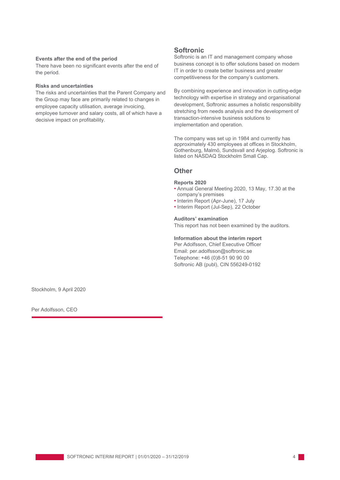#### **Events after the end of the period**

There have been no significant events after the end of the period.

#### **Risks and uncertainties**

The risks and uncertainties that the Parent Company and the Group may face are primarily related to changes in employee capacity utilisation, average invoicing, employee turnover and salary costs, all of which have a decisive impact on profitability.

#### **Softronic**

Softronic is an IT and management company whose business concept is to offer solutions based on modern IT in order to create better business and greater competitiveness for the company's customers.

By combining experience and innovation in cutting-edge technology with expertise in strategy and organisational development, Softronic assumes a holistic responsibility stretching from needs analysis and the development of transaction-intensive business solutions to implementation and operation.

The company was set up in 1984 and currently has approximately 430 employees at offices in Stockholm, Gothenburg, Malmö, Sundsvall and Arjeplog. Softronic is listed on NASDAQ Stockholm Small Cap.

### **Other**

#### **Reports 2020**

- Annual General Meeting 2020, 13 May, 17.30 at the company's premises
- Interim Report (Apr-June), 17 July
- Interim Report (Jul-Sep), 22 October

### **Auditors' examination**

This report has not been examined by the auditors.

#### **Information about the interim report**

Per Adolfsson, Chief Executive Officer Email: [per.](mailto:per.adolfsson@softronic.se)[adolfsson@softronic.se](mailto:.adolfsson@softronic.se) Telephone: +46 (0)8-51 90 90 00 Softronic AB (publ), CIN 556249-0192

Stockholm, 9 April 2020

Per Adolfsson, CEO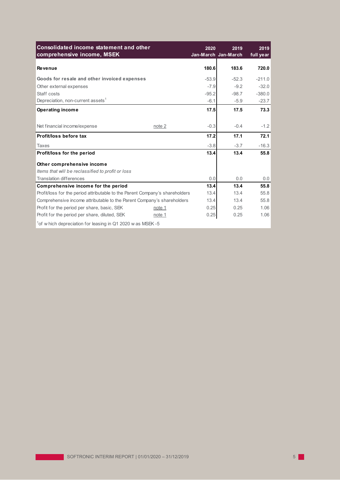| Consolidated income statement and other<br>comprehensive income, MSEK        |        | 2020    | 2019<br>Jan-March Jan-March | 2019<br>full year |
|------------------------------------------------------------------------------|--------|---------|-----------------------------|-------------------|
| Revenue                                                                      |        | 180.6   | 183.6                       | 720.0             |
| Goods for resale and other invoiced expenses                                 |        | $-53.9$ | $-52.3$                     | $-211.0$          |
| Other external expenses                                                      |        | $-7.9$  | $-9.2$                      | $-32.0$           |
| Staff costs                                                                  |        | $-95.2$ | $-98.7$                     | $-380.0$          |
| Depreciation, non-current assets <sup>1</sup>                                |        | $-6.1$  | $-5.9$                      | $-23.7$           |
| <b>Operating income</b>                                                      |        | 17.5    | 17.5                        | 73.3              |
| Net financial income/expense                                                 | note 2 | $-0.3$  | $-0.4$                      | $-1.2$            |
| Profit/loss before tax                                                       |        | 17.2    | 17.1                        | 72.1              |
| Taxes                                                                        |        | $-3.8$  | $-3.7$                      | $-16.3$           |
| Profit/loss for the period                                                   |        | 13.4    | 13.4                        | 55.8              |
| Other comprehensive income                                                   |        |         |                             |                   |
| Items that will be reclassified to profit or loss                            |        |         |                             |                   |
| <b>Translation differences</b>                                               |        | 0.0     | 0.0                         | 0.0               |
| Comprehensive income for the period                                          |        | 13.4    | 13.4                        | 55.8              |
| Profit/loss for the period attributable to the Parent Company's shareholders |        | 13.4    | 13.4                        | 55.8              |
| Comprehensive income attributable to the Parent Company's shareholders       |        | 13.4    | 13.4                        | 55.8              |
| Profit for the period per share, basic, SEK                                  | note 1 | 0.25    | 0.25                        | 1.06              |
| Profit for the period per share, diluted, SEK                                | note 1 | 0.25    | 0.25                        | 1.06              |
| $1$ of w hich depreciation for leasing in Q1 2020 w as MSEK -5               |        |         |                             |                   |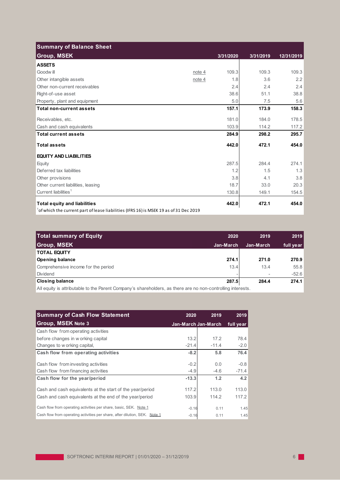| <b>Summary of Balance Sheet</b>                                                                                                         |        |           |           |            |
|-----------------------------------------------------------------------------------------------------------------------------------------|--------|-----------|-----------|------------|
| <b>Group, MSEK</b>                                                                                                                      |        | 3/31/2020 | 3/31/2019 | 12/31/2019 |
| <b>ASSETS</b>                                                                                                                           |        |           |           |            |
| Goodw ill                                                                                                                               | note 4 | 109.3     | 109.3     | 109.3      |
| Other intangible assets                                                                                                                 | note 4 | 1.8       | 3.6       | 2.2        |
| Other non-current receivables                                                                                                           |        | 2.4       | 2.4       | 2.4        |
| Right-of-use asset                                                                                                                      |        | 38.6      | 51.1      | 38.8       |
| Property, plant and equipment                                                                                                           |        | 5.0       | 7.5       | 5.6        |
| <b>Total non-current assets</b>                                                                                                         |        | 157.1     | 173.9     | 158.3      |
| Receivables, etc.                                                                                                                       |        | 181.0     | 184.0     | 178.5      |
| Cash and cash equivalents                                                                                                               |        | 103.9     | 114.2     | 117.2      |
| <b>Total current assets</b>                                                                                                             |        | 284.9     | 298.2     | 295.7      |
| <b>Total assets</b>                                                                                                                     |        | 442.0     | 472.1     | 454.0      |
| <b>EQUITY AND LIABILITIES</b>                                                                                                           |        |           |           |            |
| Equity                                                                                                                                  |        | 287.5     | 284.4     | 274.1      |
| Deferred tax liabilities                                                                                                                |        | 1.2       | 1.5       | 1.3        |
| Other provisions                                                                                                                        |        | 3.8       | 4.1       | 3.8        |
| Other current liabilities, leasing                                                                                                      |        | 18.7      | 33.0      | 20.3       |
| Current liabilities <sup>1</sup>                                                                                                        |        | 130.8     | 149.1     | 154.5      |
| <b>Total equity and liabilities</b><br>$^{\rm l}$ of which the current part of lease liabilities (IFRS 16) is MSEK 19 as of 31 Dec 2019 |        | 442.0     | 472.1     | 454.0      |

| Total summary of Equity                                                                                   | 2020      | 2019                     | 2019      |
|-----------------------------------------------------------------------------------------------------------|-----------|--------------------------|-----------|
| Group, MSEK                                                                                               | Jan-March | Jan-March                | full year |
| <b>TOTAL EQUITY</b>                                                                                       |           |                          |           |
| <b>Opening balance</b>                                                                                    | 274.1     | 271.0                    | 270.9     |
| Comprehensive income for the period                                                                       | 13.4      | 13.4                     | 55.8      |
| Dividend                                                                                                  |           | $\overline{\phantom{a}}$ | $-52.6$   |
| <b>Closing balance</b>                                                                                    | 287.5     | 284.4                    | 274.1     |
| All equity is attributable to the Parent Company's shareholders as there are no non-controlling interests |           |                          |           |

All equity is attributable to the Parent Company's shareholders, as there are no non-controlling interests.

| <b>Summary of Cash Flow Statement</b>                                      | 2020                | 2019    | 2019      |
|----------------------------------------------------------------------------|---------------------|---------|-----------|
| <b>Group, MSEK Note 3</b>                                                  | Jan-March Jan-March |         | full year |
| Cash flow from operating activities                                        |                     |         |           |
| before changes in w orking capital                                         | 13.2                | 17.2    | 78.4      |
| Changes to w orking capital,                                               | $-21.4$             | $-11.4$ | $-2.0$    |
| Cash flow from operating activities                                        | $-8.2$              | 5.8     | 76.4      |
| Cash flow from investing activities                                        | $-0.2$              | 0.0     | $-0.8$    |
| Cash flow from financing activities                                        | $-4.9$              | $-4.6$  | $-71.4$   |
| Cash flow for the year/period                                              | $-13.3$             | 1.2     | 4.2       |
| Cash and cash equivalents at the start of the year/period                  | 117.2               | 113.0   | 113.0     |
| Cash and cash equivalents at the end of the year/period                    | 103.9               | 114.2   | 117.2     |
| Cash flow from operating activities per share, basic, SEK. Note 1          | $-0.16$             | 0.11    | 1.45      |
| Cash flow from operating activities per share, after dilution, SEK. Note 1 | $-0.16$             | 0.11    | 1.45      |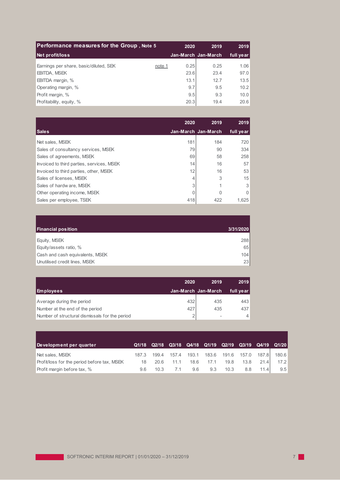| Performance measures for the Group, Note 5 |        | 2020 | 2019                | 2019      |
|--------------------------------------------|--------|------|---------------------|-----------|
| Net profit/loss                            |        |      | Jan-March Jan-March | full year |
| Earnings per share, basic/diluted, SEK     | note 1 | 0.25 | 0.25                | 1.06      |
| <b>EBITDA, MSEK</b>                        |        | 23.6 | 23.4                | 97.0      |
| EBITDA margin, %                           |        | 13.1 | 12.7                | 13.5      |
| Operating margin, %                        |        | 9.7  | 9.5                 | 10.2      |
| Profit margin, %                           |        | 9.5  | 9.3                 | 10.0      |
| Profitability, equity, %                   |        | 20.3 | 19.4                | 20.6      |

|                                           | 2020 | 2019                | 2019      |
|-------------------------------------------|------|---------------------|-----------|
| <b>Sales</b>                              |      | Jan-March Jan-March | full year |
| Net sales, MSEK                           | 181  | 184                 | 720       |
| Sales of consultancy services, MSEK       | 79   | 90                  | 334       |
| Sales of agreements, MSEK                 | 69   | 58                  | 258       |
| Invoiced to third parties, services, MSEK | 14   | 16                  | 57        |
| Invoiced to third parties, other, MSEK    | 12   | 16                  | 53        |
| Sales of licenses, MSEK                   |      | 3                   | 15        |
| Sales of hardware, MSEK                   |      |                     | 3         |
| Other operating income, MSEK              |      |                     |           |
| Sales per employee, TSEK                  | 418  | 422                 | 1,625     |

| <b>Financial position</b>       | 3/31/2020 |
|---------------------------------|-----------|
| Equity, MSEK                    | 288       |
| Equity/assets ratio, %          | 65        |
| Cash and cash equivalents, MSEK | 104       |
| Unutilised credit lines, MSEK   | 23        |

|                                                | 2020                | 2019                     | 2019      |
|------------------------------------------------|---------------------|--------------------------|-----------|
| <b>Employees</b>                               | Jan-March Jan-March |                          | full year |
| Average during the period                      | 432                 | 435                      | 443       |
| Number at the end of the period                | 427                 | 435                      | 437       |
| Number of structural dismissals for the period |                     | $\overline{\phantom{a}}$ |           |

| Development per quarter                     | Q1/18 | Q2/18   |                                                        | Q3/18 Q4/18 Q1/19 Q2/19 Q3/19 Q4/19 Q1/20 |  |      |
|---------------------------------------------|-------|---------|--------------------------------------------------------|-------------------------------------------|--|------|
| Net sales, MSEK                             | 187.3 |         | 199.4  157.4  193.1  183.6  191.6  157.0  187.8  180.6 |                                           |  |      |
| Profit/loss for the period before tax, MSEK | 18    | $-20.6$ |                                                        | 11.1  18.6  17.1  19.8  13.8  21.4        |  | 17.2 |
| Profit margin before tax, %                 | 9.6   | 10.3    |                                                        | 7.1 9.6 9.3 10.3 8.8 11.4                 |  | 9.5  |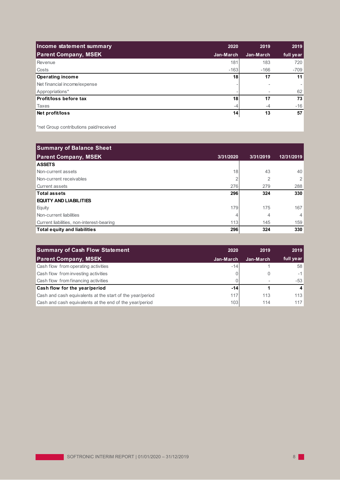| Income statement summary      | 2020      | 2019      | 2019      |
|-------------------------------|-----------|-----------|-----------|
| <b>Parent Company, MSEK</b>   | Jan-March | Jan-March | full year |
| Revenue                       | 181       | 183       | 720       |
| Costs                         | $-163$    | $-166$    | $-709$    |
| <b>Operating income</b>       | 18        | 17        | 11        |
| Net financial income/expense  |           |           |           |
| Appropriations*               |           |           | 62        |
| <b>Profit/loss before tax</b> | 18        | 17        | 73        |
| <b>Taxes</b>                  | -4        | -4        | $-16$     |
| Net profit/loss               | 14        | 13        | 57        |

\*net Group contributions paid/received

| <b>Summary of Balance Sheet</b>           |           |                |                 |
|-------------------------------------------|-----------|----------------|-----------------|
| <b>Parent Company, MSEK</b>               | 3/31/2020 | 3/31/2019      | 12/31/2019      |
| <b>ASSETS</b>                             |           |                |                 |
| Non-current assets                        | 18        | 43             | 40 <sup>1</sup> |
| Non-current receivables                   |           | $\overline{2}$ | 2               |
| Current assets                            | 276       | 279            | 288             |
| <b>Total assets</b>                       | 296       | 324            | 330             |
| <b>EQUITY AND LIABILITIES</b>             |           |                |                 |
| Equity                                    | 179       | 175            | 167             |
| Non-current liabilities                   |           | 4              | 4               |
| Current liabilities, non-interest-bearing | 113       | 145            | 159             |
| <b>Total equity and liabilities</b>       | 296       | 324            | 330             |

| <b>Summary of Cash Flow Statement</b>                     | 2020      | 2019      | 2019      |
|-----------------------------------------------------------|-----------|-----------|-----------|
| <b>Parent Company, MSEK</b>                               | Jan-March | Jan-March | full year |
| Cash flow from operating activities                       | $-14$     |           | 58        |
| Cash flow from investing activities                       |           |           | $-1$      |
| Cash flow from financing activities                       |           |           | $-53$     |
| Cash flow for the year/period                             | $-14$     |           | $\vert$ 4 |
| Cash and cash equivalents at the start of the year/period | 117       | 113       | 113       |
| Cash and cash equivalents at the end of the year/period   | 103       | 114       | 117       |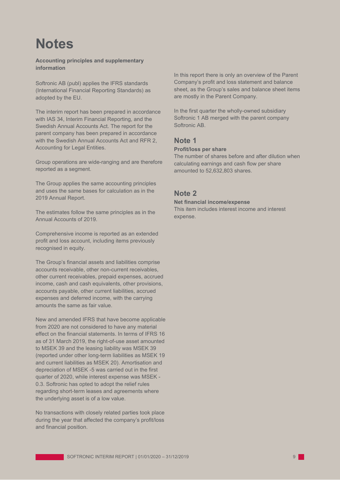# **Notes**

**Accounting principles and supplementary information**

Softronic AB (publ) applies the IFRS standards (International Financial Reporting Standards) as adopted by the EU.

The interim report has been prepared in accordance with IAS 34, Interim Financial Reporting, and the Swedish Annual Accounts Act. The report for the parent company has been prepared in accordance with the Swedish Annual Accounts Act and RFR 2, Accounting for Legal Entities.

Group operations are wide-ranging and are therefore reported as a segment.

The Group applies the same accounting principles and uses the same bases for calculation as in the 2019 Annual Report.

The estimates follow the same principles as in the Annual Accounts of 2019.

Comprehensive income is reported as an extended profit and loss account, including items previously recognised in equity.

The Group's financial assets and liabilities comprise accounts receivable, other non-current receivables, other current receivables, prepaid expenses, accrued income, cash and cash equivalents, other provisions, accounts payable, other current liabilities, accrued expenses and deferred income, with the carrying amounts the same as fair value.

New and amended IFRS that have become applicable from 2020 are not considered to have any material effect on the financial statements. In terms of IFRS 16 as of 31 March 2019, the right-of-use asset amounted to MSEK 39 and the leasing liability was MSEK 39 (reported under other long-term liabilities as MSEK 19 and current liabilities as MSEK 20). Amortisation and depreciation of MSEK -5 was carried out in the first quarter of 2020, while interest expense was MSEK - 0.3. Softronic has opted to adopt the relief rules regarding short-term leases and agreements where the underlying asset is of a low value.

No transactions with closely related parties took place during the year that affected the company's profit/loss and financial position.

In this report there is only an overview of the Parent Company's profit and loss statement and balance sheet, as the Group's sales and balance sheet items are mostly in the Parent Company.

In the first quarter the wholly-owned subsidiary Softronic 1 AB merged with the parent company Softronic AB.

## **Note 1**

### **Profit/loss per share**

The number of shares before and after dilution when calculating earnings and cash flow per share amounted to 52,632,803 shares.

## **Note 2**

#### **Net financial income/expense**

This item includes interest income and interest expense.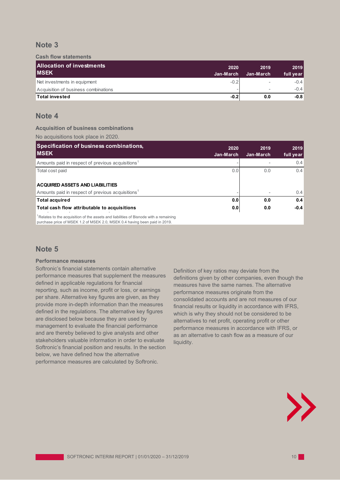## **Note 3**

#### **Cash flow statements**

| <b>Allocation of investments</b><br><b>IMSEK</b> | 2020<br>Jan-March | 2019<br>Jan-March        | 2019<br>full year |
|--------------------------------------------------|-------------------|--------------------------|-------------------|
| Net investments in equipment                     | $-0.2$            | $\overline{\phantom{a}}$ | $-0.4$            |
| Acquisition of business combinations             |                   | $\overline{\phantom{a}}$ | $-0.4$            |
| <b>Total invested</b>                            | $-0.2$            | 0.0                      | $-0.8$            |

## **Note 4**

#### **Acquisition of business combinations**

No acquisitions took place in 2020.

| Specification of business combinations,<br><b>IMSEK</b>                                           | 2020<br>Jan-March | 2019<br>Jan-March | 2019<br>full year |
|---------------------------------------------------------------------------------------------------|-------------------|-------------------|-------------------|
| Amounts paid in respect of previous acquisitions <sup>1</sup>                                     |                   |                   | 0.4               |
| Total cost paid                                                                                   | 0.0               | 0.0               | 0.4               |
| <b>ACQUIRED ASSETS AND LIABILITIES</b>                                                            |                   |                   |                   |
| Amounts paid in respect of previous acquisitions <sup>1</sup>                                     |                   |                   | 0.4               |
| <b>Total acquired</b>                                                                             | 0.0               | 0.0               | 0.4               |
| Total cash flow attributable to acquisitions                                                      | 0.0               | 0.0               | $-0.4$            |
| <sup>1</sup> Relates to the acquisition of the assets and liabilities of Bisnode with a remaining |                   |                   |                   |

purchase price of MSEK 1.2 of MSEK 2.0, MSEK 0.4 having been paid in 2019.

## **Note 5**

#### **Performance measures**

Softronic's financial statements contain alternative performance measures that supplement the measures defined in applicable regulations for financial reporting, such as income, profit or loss, or earnings per share. Alternative key figures are given, as they provide more in-depth information than the measures defined in the regulations. The alternative key figures are disclosed below because they are used by management to evaluate the financial performance and are thereby believed to give analysts and other stakeholders valuable information in order to evaluate Softronic's financial position and results. In the section below, we have defined how the alternative performance measures are calculated by Softronic.

Definition of key ratios may deviate from the definitions given by other companies, even though the measures have the same names. The alternative performance measures originate from the consolidated accounts and are not measures of our financial results or liquidity in accordance with IFRS, which is why they should not be considered to be alternatives to net profit, operating profit or other performance measures in accordance with IFRS, or as an alternative to cash flow as a measure of our liquidity.

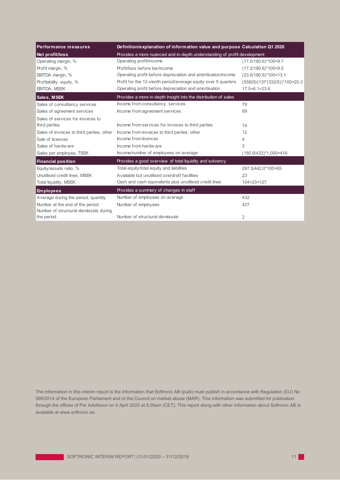| <b>Performance measures</b>               | Definition/explanation of information value and purpose Calculation Q1 2020 |                              |  |
|-------------------------------------------|-----------------------------------------------------------------------------|------------------------------|--|
| Net profit/loss                           | Provides a more nuanced and in-depth understanding of profit development    |                              |  |
| Operating margin, %                       | Operating profit/income                                                     | $(17.5/180.6)^*100=9.7$      |  |
| Profit margin, %                          | Profit/loss before tax/income                                               | $(17.2/180.6)^*100=9.5$      |  |
| EBITDA margin, %                          | Operating profit before depreciation and amortisation/income                | (23.6/180.6)*100=13.1        |  |
| Profitability, equity, %                  | Profit for the 12-month period/average equity over 5 quarters               | (55805/(1371332/5))*100=20.3 |  |
| <b>EBITDA, MSEK</b>                       | Operating profit before depreciation and amortisation                       | $17.5 + 6.1 = 23.6$          |  |
| Sales, MSEK                               | Provides a more in-depth insight into the distribution of sales             |                              |  |
| Sales of consultancy services             | Income from consultancy services                                            | 79                           |  |
| Sales of agreement services               | Income from agreement services                                              | 69                           |  |
| Sales of services for invoices to         |                                                                             |                              |  |
| third parties                             | Income from services for invoices to third parties                          | 14                           |  |
| Sales of invoices to third parties, other | Income from invoices to third parties, other                                | 12                           |  |
| Sale of licences                          | Income from licences                                                        | 4                            |  |
| Sales of hardware                         | Income from hardw are                                                       | 3                            |  |
| Sales per employee, TSEK                  | Income/number of employees on average                                       | $(180.6/432)^*1,000=418$     |  |
| <b>Financial position</b>                 | Provides a good overview of total liquidity and solvency                    |                              |  |
| Equity/assets ratio, %                    | Total equity/total equity and liabilities                                   | 287.5/442,0*100=65           |  |
| Unutilised credit lines, MSEK             | Available but unutilised overdraft facilities                               | 23                           |  |
| Total liquidity, MSEK                     | Cash and cash equivalents plus unutilised credit lines                      | $104 + 23 = 127$             |  |
| <b>Employees</b>                          | Provides a summary of changes in staff                                      |                              |  |
| Average during the period, quantity       | Number of employees on average                                              | 432                          |  |
| Number at the end of the period           | Number of employees                                                         | 427                          |  |
| Number of structural dismissals during    |                                                                             |                              |  |
| the period                                | Number of structural dismissals                                             | 2                            |  |

The information in this interim report is the information that Softronic AB (publ) must publish in accordance with Regulation (EU) No 596/2014 of the European Parliament and of the Council on market abuse (MAR). This information was submitted for publication through the offices of Per Adolfsson on 9 April 2020 at 8.00am (CET). This report along with other information about Softronic AB is available at [www.softronic.se.](http://www.softronic.se/)